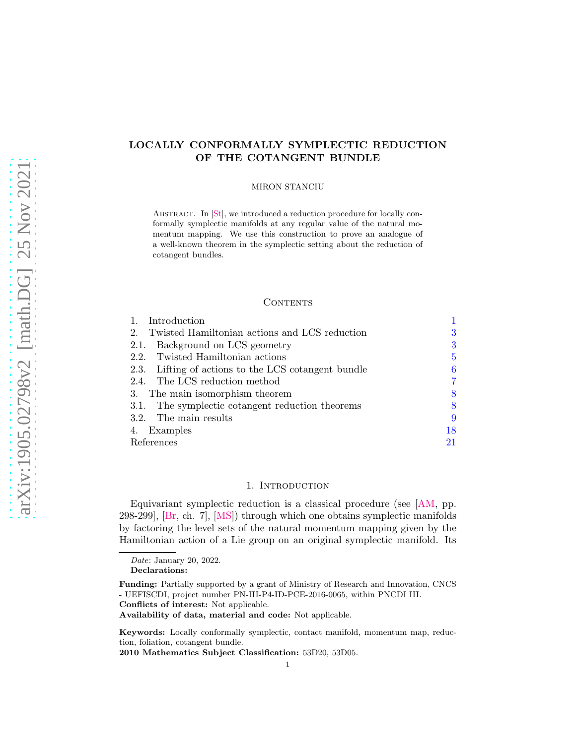# <span id="page-0-1"></span>LOCALLY CONFORMALLY SYMPLECTIC REDUCTION OF THE COTANGENT BUNDLE

#### MIRON STANCIU

ABSTRACT. In [\[St\]](#page-21-0), we introduced a reduction procedure for locally conformally symplectic manifolds at any regular value of the natural momentum mapping. We use this construction to prove an analogue of a well-known theorem in the symplectic setting about the reduction of cotangent bundles.

### **CONTENTS**

| Introduction                                                 |    |
|--------------------------------------------------------------|----|
| Twisted Hamiltonian actions and LCS reduction<br>$2_{\cdot}$ | 3  |
| Background on LCS geometry<br>2.1.                           | 3  |
| 2.2. Twisted Hamiltonian actions                             | 5  |
| 2.3. Lifting of actions to the LCS cotangent bundle          | 6  |
| 2.4. The LCS reduction method                                |    |
| 3. The main isomorphism theorem                              | 8  |
| 3.1. The symplectic cotangent reduction theorems             | 8  |
| 3.2. The main results                                        | 9  |
| 4. Examples                                                  | 18 |
| References                                                   | 21 |

### 1. INTRODUCTION

<span id="page-0-0"></span>Equivariant symplectic reduction is a classical procedure (see [\[AM,](#page-20-1) pp. 298-299], [\[Br,](#page-20-2) ch. 7], [\[MS\]](#page-20-3)) through which one obtains symplectic manifolds by factoring the level sets of the natural momentum mapping given by the Hamiltonian action of a Lie group on an original symplectic manifold. Its

Declarations:

Conflicts of interest: Not applicable.

Keywords: Locally conformally symplectic, contact manifold, momentum map, reduction, foliation, cotangent bundle.

2010 Mathematics Subject Classification: 53D20, 53D05.

Date: January 20, 2022.

Funding: Partially supported by a grant of Ministry of Research and Innovation, CNCS - UEFISCDI, project number PN-III-P4-ID-PCE-2016-0065, within PNCDI III.

Availability of data, material and code: Not applicable.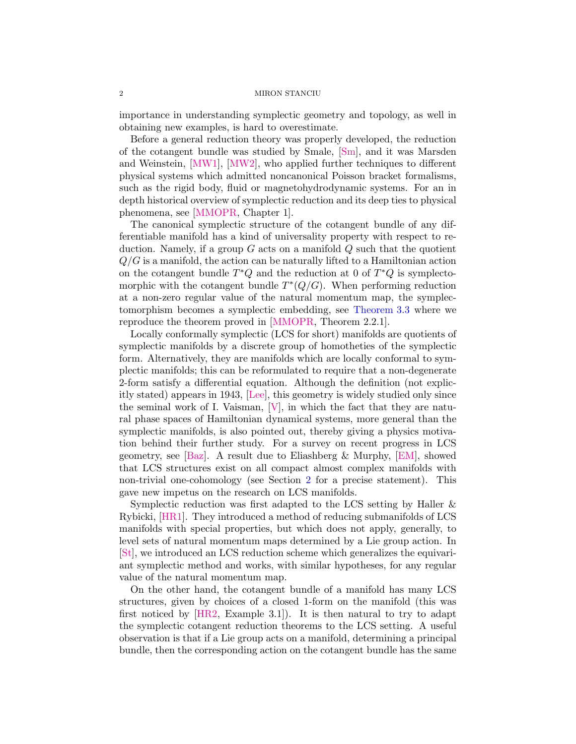<span id="page-1-0"></span>importance in understanding symplectic geometry and topology, as well in obtaining new examples, is hard to overestimate.

Before a general reduction theory was properly developed, the reduction of the cotangent bundle was studied by Smale, [\[Sm\]](#page-21-1), and it was Marsden and Weinstein, [\[MW1\]](#page-20-4), [\[MW2\]](#page-20-5), who applied further techniques to different physical systems which admitted noncanonical Poisson bracket formalisms, such as the rigid body, fluid or magnetohydrodynamic systems. For an in depth historical overview of symplectic reduction and its deep ties to physical phenomena, see [\[MMOPR,](#page-21-2) Chapter 1].

The canonical symplectic structure of the cotangent bundle of any differentiable manifold has a kind of universality property with respect to reduction. Namely, if a group  $G$  acts on a manifold  $Q$  such that the quotient  $Q/G$  is a manifold, the action can be naturally lifted to a Hamiltonian action on the cotangent bundle  $T^*Q$  and the reduction at 0 of  $T^*Q$  is symplectomorphic with the cotangent bundle  $T^*(Q/G)$ . When performing reduction at a non-zero regular value of the natural momentum map, the symplectomorphism becomes a symplectic embedding, see [Theorem 3.3](#page-7-2) where we reproduce the theorem proved in [\[MMOPR,](#page-21-2) Theorem 2.2.1].

Locally conformally symplectic (LCS for short) manifolds are quotients of symplectic manifolds by a discrete group of homotheties of the symplectic form. Alternatively, they are manifolds which are locally conformal to symplectic manifolds; this can be reformulated to require that a non-degenerate 2-form satisfy a differential equation. Although the definition (not explicitly stated) appears in 1943, [\[Lee\]](#page-20-6), this geometry is widely studied only since the seminal work of I. Vaisman,  $[V]$ , in which the fact that they are natural phase spaces of Hamiltonian dynamical systems, more general than the symplectic manifolds, is also pointed out, thereby giving a physics motivation behind their further study. For a survey on recent progress in LCS geometry, see [\[Baz\]](#page-20-7). A result due to Eliashberg & Murphy, [\[EM\]](#page-20-8), showed that LCS structures exist on all compact almost complex manifolds with non-trivial one-cohomology (see Section [2](#page-2-0) for a precise statement). This gave new impetus on the research on LCS manifolds.

Symplectic reduction was first adapted to the LCS setting by Haller & Rybicki, [\[HR1\]](#page-20-9). They introduced a method of reducing submanifolds of LCS manifolds with special properties, but which does not apply, generally, to level sets of natural momentum maps determined by a Lie group action. In [\[St\]](#page-21-0), we introduced an LCS reduction scheme which generalizes the equivariant symplectic method and works, with similar hypotheses, for any regular value of the natural momentum map.

On the other hand, the cotangent bundle of a manifold has many LCS structures, given by choices of a closed 1-form on the manifold (this was first noticed by [\[HR2,](#page-20-10) Example 3.1]). It is then natural to try to adapt the symplectic cotangent reduction theorems to the LCS setting. A useful observation is that if a Lie group acts on a manifold, determining a principal bundle, then the corresponding action on the cotangent bundle has the same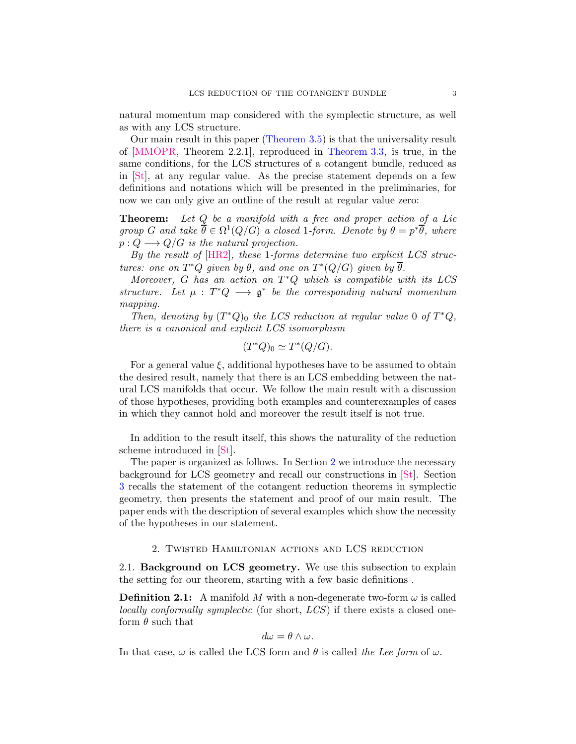<span id="page-2-2"></span>natural momentum map considered with the symplectic structure, as well as with any LCS structure.

Our main result in this paper [\(Theorem 3.5\)](#page-8-1) is that the universality result of [\[MMOPR,](#page-21-2) Theorem 2.2.1], reproduced in [Theorem 3.3,](#page-7-2) is true, in the same conditions, for the LCS structures of a cotangent bundle, reduced as in [\[St\]](#page-21-0), at any regular value. As the precise statement depends on a few definitions and notations which will be presented in the preliminaries, for now we can only give an outline of the result at regular value zero:

Theorem: Let Q be a manifold with a free and proper action of a Lie group G and take  $\overline{\theta} \in \Omega^1(Q/G)$  a closed 1-form. Denote by  $\theta = p^*\overline{\theta}$ , where  $p: Q \longrightarrow Q/G$  is the natural projection.

By the result of [\[HR2\]](#page-20-10), these 1-forms determine two explicit LCS structures: one on  $T^*Q$  given by  $\theta$ , and one on  $T^*(Q/G)$  given by  $\overline{\theta}$ .

Moreover,  $G$  has an action on  $T^*Q$  which is compatible with its LCS structure. Let  $\mu : T^*Q \longrightarrow \mathfrak{g}^*$  be the corresponding natural momentum mapping.

Then, denoting by  $(T^*Q)_0$  the LCS reduction at regular value 0 of  $T^*Q$ , there is a canonical and explicit LCS isomorphism

$$
(T^*Q)_0 \simeq T^*(Q/G).
$$

For a general value  $\xi$ , additional hypotheses have to be assumed to obtain the desired result, namely that there is an LCS embedding between the natural LCS manifolds that occur. We follow the main result with a discussion of those hypotheses, providing both examples and counterexamples of cases in which they cannot hold and moreover the result itself is not true.

In addition to the result itself, this shows the naturality of the reduction scheme introduced in [\[St\]](#page-21-0).

The paper is organized as follows. In Section [2](#page-2-0) we introduce the necessary background for LCS geometry and recall our constructions in [\[St\]](#page-21-0). Section [3](#page-7-0) recalls the statement of the cotangent reduction theorems in symplectic geometry, then presents the statement and proof of our main result. The paper ends with the description of several examples which show the necessity of the hypotheses in our statement.

## 2. Twisted Hamiltonian actions and LCS reduction

<span id="page-2-1"></span><span id="page-2-0"></span>2.1. Background on LCS geometry. We use this subsection to explain the setting for our theorem, starting with a few basic definitions .

**Definition 2.1:** A manifold M with a non-degenerate two-form  $\omega$  is called locally conformally symplectic (for short,  $LCS$ ) if there exists a closed oneform  $\theta$  such that

$$
d\omega = \theta \wedge \omega.
$$

In that case,  $\omega$  is called the LCS form and  $\theta$  is called the Lee form of  $\omega$ .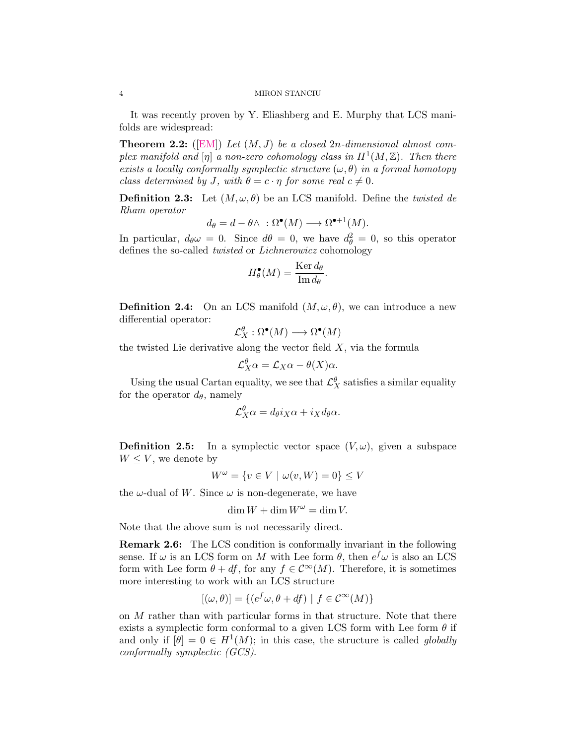It was recently proven by Y. Eliashberg and E. Murphy that LCS manifolds are widespread:

**Theorem 2.2:** ([\[EM\]](#page-20-8)) Let  $(M, J)$  be a closed 2n-dimensional almost complex manifold and  $[\eta]$  a non-zero cohomology class in  $H^1(M,\mathbb{Z})$ . Then there exists a locally conformally symplectic structure  $(\omega, \theta)$  in a formal homotopy class determined by J, with  $\theta = c \cdot \eta$  for some real  $c \neq 0$ .

**Definition 2.3:** Let  $(M, \omega, \theta)$  be an LCS manifold. Define the twisted de Rham operator

$$
d_{\theta} = d - \theta \wedge \; : \Omega^{\bullet}(M) \longrightarrow \Omega^{\bullet+1}(M).
$$

In particular,  $d_{\theta} \omega = 0$ . Since  $d\theta = 0$ , we have  $d_{\theta}^2 = 0$ , so this operator defines the so-called twisted or Lichnerowicz cohomology

$$
H_{\theta}^{\bullet}(M) = \frac{\text{Ker } d_{\theta}}{\text{Im } d_{\theta}}.
$$

**Definition 2.4:** On an LCS manifold  $(M, \omega, \theta)$ , we can introduce a new differential operator:

$$
\mathcal{L}^{\theta}_{X} : \Omega^{\bullet}(M) \longrightarrow \Omega^{\bullet}(M)
$$

the twisted Lie derivative along the vector field  $X$ , via the formula

$$
\mathcal{L}_X^{\theta} \alpha = \mathcal{L}_X \alpha - \theta(X) \alpha.
$$

Using the usual Cartan equality, we see that  $\mathcal{L}^{\theta}_{X}$  satisfies a similar equality for the operator  $d_{\theta}$ , namely

$$
\mathcal{L}_X^{\theta} \alpha = d_{\theta} i_X \alpha + i_X d_{\theta} \alpha.
$$

**Definition 2.5:** In a symplectic vector space  $(V, \omega)$ , given a subspace  $W \leq V$ , we denote by

$$
W^{\omega} = \{ v \in V \mid \omega(v, W) = 0 \} \le V
$$

the  $\omega$ -dual of W. Since  $\omega$  is non-degenerate, we have

$$
\dim W + \dim W^{\omega} = \dim V.
$$

Note that the above sum is not necessarily direct.

Remark 2.6: The LCS condition is conformally invariant in the following sense. If  $\omega$  is an LCS form on M with Lee form  $\theta$ , then  $e^f \omega$  is also an LCS form with Lee form  $\theta + df$ , for any  $f \in C^{\infty}(M)$ . Therefore, it is sometimes more interesting to work with an LCS structure

$$
[(\omega,\theta)] = \{ (e^f \omega, \theta + df) \mid f \in \mathcal{C}^{\infty}(M) \}
$$

on  $M$  rather than with particular forms in that structure. Note that there exists a symplectic form conformal to a given LCS form with Lee form  $\theta$  if and only if  $[\theta] = 0 \in H^1(M)$ ; in this case, the structure is called globally conformally symplectic (GCS).

<span id="page-3-0"></span>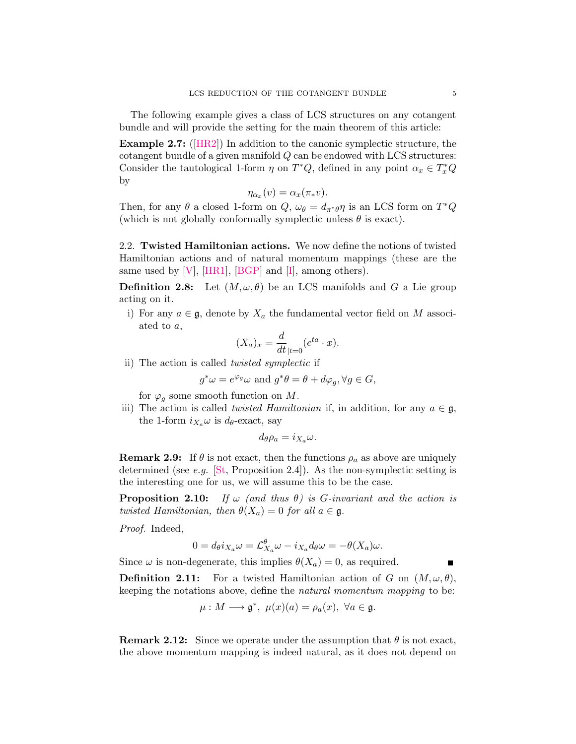<span id="page-4-4"></span><span id="page-4-3"></span>The following example gives a class of LCS structures on any cotangent bundle and will provide the setting for the main theorem of this article:

Example 2.7: ([\[HR2\]](#page-20-10)) In addition to the canonic symplectic structure, the cotangent bundle of a given manifold Q can be endowed with LCS structures: Consider the tautological 1-form  $\eta$  on  $T^*Q$ , defined in any point  $\alpha_x \in T^*_xQ$ by

$$
\eta_{\alpha_x}(v) = \alpha_x(\pi_*v).
$$

Then, for any  $\theta$  a closed 1-form on  $Q$ ,  $\omega_{\theta} = d_{\pi^* \theta} \eta$  is an LCS form on  $T^*Q$ (which is not globally conformally symplectic unless  $\theta$  is exact).

<span id="page-4-0"></span>2.2. Twisted Hamiltonian actions. We now define the notions of twisted Hamiltonian actions and of natural momentum mappings (these are the same used by  $[V]$ ,  $[HR1]$ ,  $[BGP]$  and  $[I]$ , among others).

**Definition 2.8:** Let  $(M, \omega, \theta)$  be an LCS manifolds and G a Lie group acting on it.

i) For any  $a \in \mathfrak{g}$ , denote by  $X_a$  the fundamental vector field on M associated to a,

$$
(X_a)_x = \frac{d}{dt}_{|t=0} (e^{ta} \cdot x).
$$

ii) The action is called twisted symplectic if

$$
g^*\omega = e^{\varphi_g}\omega
$$
 and  $g^*\theta = \theta + d\varphi_g, \forall g \in G$ ,

for  $\varphi_g$  some smooth function on M.

iii) The action is called *twisted Hamiltonian* if, in addition, for any  $a \in \mathfrak{g}$ , the 1-form  $i_{X_a}\omega$  is  $d_{\theta}$ -exact, say

$$
d_{\theta}\rho_a = i_{X_a}\omega.
$$

<span id="page-4-1"></span>**Remark 2.9:** If  $\theta$  is not exact, then the functions  $\rho_a$  as above are uniquely determined (see e.g.  $[St, Proposition 2.4]$  $[St, Proposition 2.4]$ ). As the non-symplectic setting is the interesting one for us, we will assume this to be the case.

<span id="page-4-2"></span>**Proposition 2.10:** If  $\omega$  (and thus  $\theta$ ) is G-invariant and the action is twisted Hamiltonian, then  $\theta(X_a) = 0$  for all  $a \in \mathfrak{g}$ .

Proof. Indeed,

$$
0 = d_{\theta} i_{X_a} \omega = \mathcal{L}_{X_a}^{\theta} \omega - i_{X_a} d_{\theta} \omega = -\theta(X_a) \omega.
$$

Since  $\omega$  is non-degenerate, this implies  $\theta(X_a) = 0$ , as required.

**Definition 2.11:** For a twisted Hamiltonian action of G on  $(M, \omega, \theta)$ , keeping the notations above, define the natural momentum mapping to be:

$$
\mu: M \longrightarrow \mathfrak{g}^*, \ \mu(x)(a) = \rho_a(x), \ \forall a \in \mathfrak{g}.
$$

**Remark 2.12:** Since we operate under the assumption that  $\theta$  is not exact, the above momentum mapping is indeed natural, as it does not depend on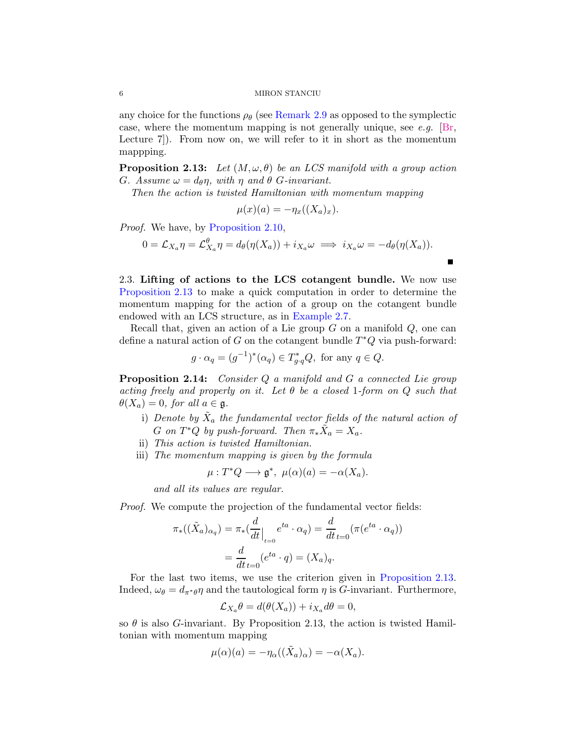any choice for the functions  $\rho_{\theta}$  (see [Remark 2.9](#page-4-1) as opposed to the symplectic case, where the momentum mapping is not generally unique, see  $e.g.$  [\[Br,](#page-20-2) Lecture 7]). From now on, we will refer to it in short as the momentum mappping.

<span id="page-5-1"></span>**Proposition 2.13:** Let  $(M, \omega, \theta)$  be an LCS manifold with a group action G. Assume  $\omega = d_{\theta} \eta$ , with  $\eta$  and  $\theta$  G-invariant.

Then the action is twisted Hamiltonian with momentum mapping

$$
\mu(x)(a) = -\eta_x((X_a)_x).
$$

Proof. We have, by [Proposition 2.10,](#page-4-2)

$$
0 = \mathcal{L}_{X_a} \eta = \mathcal{L}_{X_a}^{\theta} \eta = d_{\theta}(\eta(X_a)) + i_{X_a} \omega \implies i_{X_a} \omega = -d_{\theta}(\eta(X_a)).
$$

 $\blacksquare$ 

<span id="page-5-0"></span>2.3. Lifting of actions to the LCS cotangent bundle. We now use [Proposition 2.13](#page-5-1) to make a quick computation in order to determine the momentum mapping for the action of a group on the cotangent bundle endowed with an LCS structure, as in [Example 2.7.](#page-4-3)

Recall that, given an action of a Lie group  $G$  on a manifold  $Q$ , one can define a natural action of G on the cotangent bundle  $T^*Q$  via push-forward:

$$
g \cdot \alpha_q = (g^{-1})^*(\alpha_q) \in T^*_{g \cdot q}Q, \text{ for any } q \in Q.
$$

<span id="page-5-2"></span>Proposition 2.14: Consider Q a manifold and G a connected Lie group acting freely and properly on it. Let  $\theta$  be a closed 1-form on Q such that  $\theta(X_a) = 0$ , for all  $a \in \mathfrak{g}$ .

- i) Denote by  $\tilde{X}_a$  the fundamental vector fields of the natural action of G on  $T^*Q$  by push-forward. Then  $\pi_*\tilde{X}_a = X_a$ .
- ii) This action is twisted Hamiltonian.
- iii) The momentum mapping is given by the formula

$$
\mu: T^*Q \longrightarrow \mathfrak{g}^*, \ \mu(\alpha)(a) = -\alpha(X_a).
$$

and all its values are regular.

Proof. We compute the projection of the fundamental vector fields:

$$
\pi_*((\tilde{X}_a)_{\alpha_q}) = \pi_*\left(\frac{d}{dt}\Big|_{t=0} e^{ta} \cdot \alpha_q\right) = \frac{d}{dt}_{t=0}(\pi(e^{ta} \cdot \alpha_q))
$$

$$
= \frac{d}{dt}_{t=0}(e^{ta} \cdot q) = (X_a)_q.
$$

For the last two items, we use the criterion given in [Proposition 2.13.](#page-5-1) Indeed,  $\omega_{\theta} = d_{\pi^* \theta} \eta$  and the tautological form  $\eta$  is G-invariant. Furthermore,

$$
\mathcal{L}_{X_a}\theta = d(\theta(X_a)) + i_{X_a}d\theta = 0,
$$

so  $\theta$  is also G-invariant. By Proposition 2.13, the action is twisted Hamiltonian with momentum mapping

$$
\mu(\alpha)(a) = -\eta_{\alpha}((\tilde{X}_a)_{\alpha}) = -\alpha(X_a).
$$

<span id="page-5-3"></span>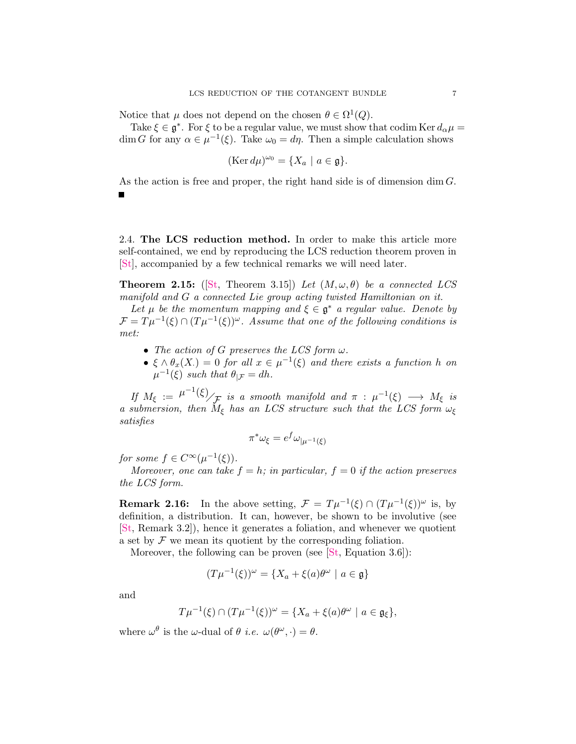<span id="page-6-3"></span>Notice that  $\mu$  does not depend on the chosen  $\theta \in \Omega^1(Q)$ .

Take  $\xi \in \mathfrak{g}^*$ . For  $\xi$  to be a regular value, we must show that codim Ker  $d_{\alpha}\mu =$ dim G for any  $\alpha \in \mu^{-1}(\xi)$ . Take  $\omega_0 = d\eta$ . Then a simple calculation shows

$$
(\text{Ker } d\mu)^{\omega_0} = \{ X_a \mid a \in \mathfrak{g} \}.
$$

As the action is free and proper, the right hand side is of dimension dim G.

<span id="page-6-0"></span>2.4. The LCS reduction method. In order to make this article more self-contained, we end by reproducing the LCS reduction theorem proven in [\[St\]](#page-21-0), accompanied by a few technical remarks we will need later.

<span id="page-6-1"></span>**Theorem 2.15:** ([\[St,](#page-21-0) Theorem 3.15]) Let  $(M, \omega, \theta)$  be a connected LCS manifold and G a connected Lie group acting twisted Hamiltonian on it.

Let  $\mu$  be the momentum mapping and  $\xi \in \mathfrak{g}^*$  a regular value. Denote by  $\mathcal{F} = T\mu^{-1}(\xi) \cap (T\mu^{-1}(\xi))^{\omega}$ . Assume that one of the following conditions is met:

- The action of G preserves the LCS form  $\omega$ .
- $\xi \wedge \theta_x(X) = 0$  for all  $x \in \mu^{-1}(\xi)$  and there exists a function h on  $\mu^{-1}(\xi)$  such that  $\theta_{|\mathcal{F}} = dh$ .

If  $M_{\xi} := \mu^{-1}(\xi)$  is a smooth manifold and  $\pi : \mu^{-1}(\xi) \longrightarrow M_{\xi}$  is a submersion, then  $M_{\xi}$  has an LCS structure such that the LCS form  $\omega_{\xi}$ satisfies

$$
\pi^* \omega_{\xi} = e^f \omega_{|\mu^{-1}(\xi)}
$$

for some  $f \in C^{\infty}(\mu^{-1}(\xi)).$ 

<span id="page-6-2"></span>Moreover, one can take  $f = h$ ; in particular,  $f = 0$  if the action preserves the LCS form.

**Remark 2.16:** In the above setting,  $\mathcal{F} = T\mu^{-1}(\xi) \cap (T\mu^{-1}(\xi))^{\omega}$  is, by definition, a distribution. It can, however, be shown to be involutive (see [\[St,](#page-21-0) Remark 3.2]), hence it generates a foliation, and whenever we quotient a set by  $\mathcal F$  we mean its quotient by the corresponding foliation.

Moreover, the following can be proven (see [\[St,](#page-21-0) Equation 3.6]):

$$
(T\mu^{-1}(\xi))^{\omega} = \{X_a + \xi(a)\theta^{\omega} \mid a \in \mathfrak{g}\}
$$

and

$$
T\mu^{-1}(\xi)\cap (T\mu^{-1}(\xi))^{\omega}=\{X_a+\xi(a)\theta^{\omega}\mid a\in\mathfrak{g}_{\xi}\},\
$$

where  $\omega^{\theta}$  is the  $\omega$ -dual of  $\theta$  *i.e.*  $\omega(\theta^{\omega}, \cdot) = \theta$ .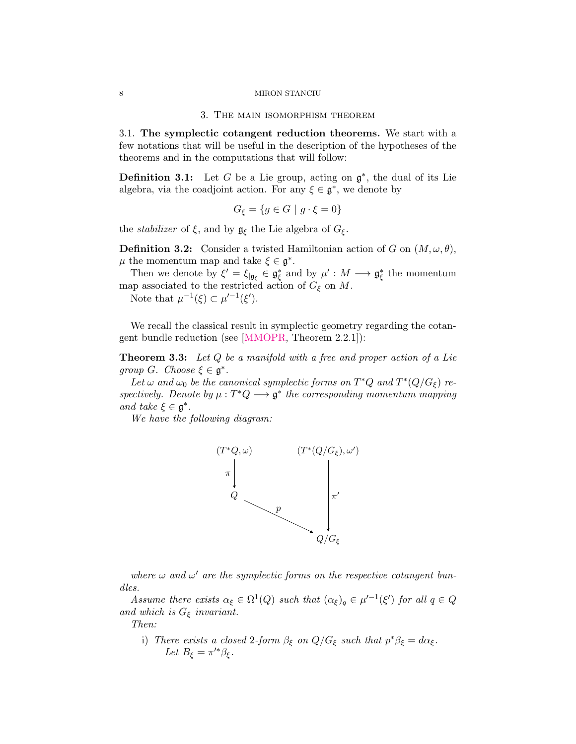#### 3. The main isomorphism theorem

<span id="page-7-3"></span><span id="page-7-1"></span><span id="page-7-0"></span>3.1. The symplectic cotangent reduction theorems. We start with a few notations that will be useful in the description of the hypotheses of the theorems and in the computations that will follow:

**Definition 3.1:** Let G be a Lie group, acting on  $\mathfrak{g}^*$ , the dual of its Lie algebra, via the coadjoint action. For any  $\xi \in \mathfrak{g}^*$ , we denote by

$$
G_{\xi} = \{ g \in G \mid g \cdot \xi = 0 \}
$$

the *stabilizer* of  $\xi$ , and by  $\mathfrak{g}_{\xi}$  the Lie algebra of  $G_{\xi}$ .

**Definition 3.2:** Consider a twisted Hamiltonian action of G on  $(M, \omega, \theta)$ ,  $\mu$  the momentum map and take  $\xi \in \mathfrak{g}^*$ .

Then we denote by  $\xi' = \xi_{|\mathfrak{g}_{\xi}} \in \mathfrak{g}_{\xi}^*$  and by  $\mu' : M \longrightarrow \mathfrak{g}_{\xi}^*$  the momentum map associated to the restricted action of  $G_{\xi}$  on M.

Note that  $\mu^{-1}(\xi) \subset \mu'^{-1}(\xi').$ 

<span id="page-7-2"></span>We recall the classical result in symplectic geometry regarding the cotangent bundle reduction (see [\[MMOPR,](#page-21-2) Theorem 2.2.1]):

**Theorem 3.3:** Let Q be a manifold with a free and proper action of a Lie group G. Choose  $\xi \in \mathfrak{g}^*$ .

Let  $\omega$  and  $\omega_0$  be the canonical symplectic forms on  $T^*Q$  and  $T^*(Q/G_{\xi})$  respectively. Denote by  $\mu: T^*Q \longrightarrow \mathfrak{g}^*$  the corresponding momentum mapping and take  $\xi \in \mathfrak{g}^*$ .

We have the following diagram:



where  $\omega$  and  $\omega'$  are the symplectic forms on the respective cotangent bundles.

Assume there exists  $\alpha_{\xi} \in \Omega^1(Q)$  such that  $(\alpha_{\xi})_q \in \mu'^{-1}(\xi')$  for all  $q \in Q$ and which is  $G_{\xi}$  invariant.

Then:

i) There exists a closed 2-form  $\beta_{\xi}$  on  $Q/G_{\xi}$  such that  $p^*\beta_{\xi} = d\alpha_{\xi}$ . Let  $B_{\xi} = \pi^{\prime *} \beta_{\xi}$ .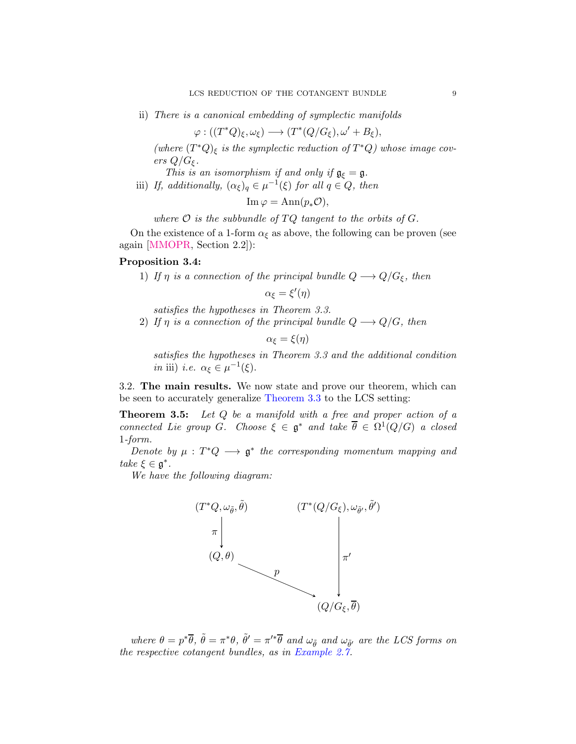<span id="page-8-3"></span>ii) There is a canonical embedding of symplectic manifolds

$$
\varphi: ((T^*Q)_{\xi}, \omega_{\xi}) \longrightarrow (T^*(Q/G_{\xi}), \omega' + B_{\xi}),
$$

(where  $(T^*Q)_{\xi}$  is the symplectic reduction of  $T^*Q$ ) whose image covers  $Q/G_{\xi}$ .

- This is an isomorphism if and only if  $\mathfrak{g}_{\xi} = \mathfrak{g}$ .
- iii) If, additionally,  $(\alpha_{\xi})_q \in \mu^{-1}(\xi)$  for all  $q \in Q$ , then

 $\text{Im}\,\varphi = \text{Ann}(p_*\mathcal{O}),$ 

where  $\mathcal O$  is the subbundle of  $TQ$  tangent to the orbits of  $G$ .

<span id="page-8-2"></span>On the existence of a 1-form  $\alpha_{\xi}$  as above, the following can be proven (see again [\[MMOPR,](#page-21-2) Section 2.2]):

### Proposition 3.4:

1) If  $\eta$  is a connection of the principal bundle  $Q \longrightarrow Q/G_{\xi}$ , then

$$
\alpha_{\xi} = \xi'(\eta)
$$

- satisfies the hypotheses in Theorem 3.3.
- 2) If  $\eta$  is a connection of the principal bundle  $Q \longrightarrow Q/G$ , then

$$
\alpha_{\xi} = \xi(\eta)
$$

satisfies the hypotheses in Theorem 3.3 and the additional condition *in* iii) *i.e.*  $\alpha_{\xi} \in \mu^{-1}(\xi)$ .

<span id="page-8-1"></span><span id="page-8-0"></span>3.2. The main results. We now state and prove our theorem, which can be seen to accurately generalize [Theorem 3.3](#page-7-2) to the LCS setting:

Theorem 3.5: Let Q be a manifold with a free and proper action of a connected Lie group G. Choose  $\xi \in \mathfrak{g}^*$  and take  $\overline{\theta} \in \Omega^1(Q/G)$  a closed 1-form.

Denote by  $\mu : T^*Q \longrightarrow \mathfrak{g}^*$  the corresponding momentum mapping and take  $\xi \in \mathfrak{g}^*$ .

We have the following diagram:



where  $\theta = p^*\overline{\theta}$ ,  $\tilde{\theta} = \pi^*\theta$ ,  $\tilde{\theta}' = \pi'^*\overline{\theta}$  and  $\omega_{\tilde{\theta}}$  and  $\omega_{\tilde{\theta}'}$  are the LCS forms on the respective cotangent bundles, as in [Example 2.7.](#page-4-3)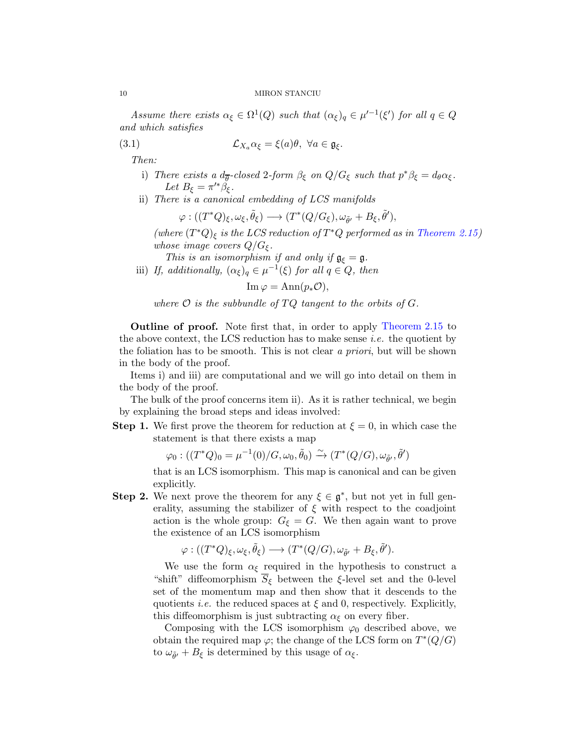Assume there exists  $\alpha_{\xi} \in \Omega^1(Q)$  such that  $(\alpha_{\xi})_q \in \mu'^{-1}(\xi')$  for all  $q \in Q$ and which satisfies

(3.1) 
$$
\mathcal{L}_{X_a} \alpha_{\xi} = \xi(a)\theta, \ \forall a \in \mathfrak{g}_{\xi}.
$$

Then:

- i) There exists a  $d_{\overline{\theta}}$ -closed 2-form  $\beta_{\xi}$  on  $Q/G_{\xi}$  such that  $p^*\beta_{\xi} = d_{\theta}\alpha_{\xi}$ . Let  $B_{\xi} = \pi^{\prime *} \check{\beta_{\xi}}$ .
- ii) There is a canonical embedding of LCS manifolds

<span id="page-9-0"></span>
$$
\varphi:((T^*Q)_\xi,\omega_\xi,\tilde{\theta}_\xi)\longrightarrow(T^*(Q/G_\xi),\omega_{\tilde{\theta}'}+B_\xi,\tilde{\theta}'),
$$

(where  $(T^*Q)_{\xi}$  is the LCS reduction of  $T^*Q$  performed as in [Theorem 2.15\)](#page-6-1) whose image covers  $Q/G_{\xi}$ .

This is an isomorphism if and only if  $\mathfrak{g}_{\xi} = \mathfrak{g}$ .

iii) If, additionally,  $(\alpha_{\xi})_q \in \mu^{-1}(\xi)$  for all  $q \in Q$ , then

$$
\operatorname{Im}\varphi=\operatorname{Ann}(p_*\mathcal{O}),
$$

where  $\mathcal O$  is the subbundle of  $TQ$  tangent to the orbits of  $G$ .

Outline of proof. Note first that, in order to apply [Theorem 2.15](#page-6-1) to the above context, the LCS reduction has to make sense *i.e.* the quotient by the foliation has to be smooth. This is not clear a priori, but will be shown in the body of the proof.

Items i) and iii) are computational and we will go into detail on them in the body of the proof.

The bulk of the proof concerns item ii). As it is rather technical, we begin by explaining the broad steps and ideas involved:

**Step 1.** We first prove the theorem for reduction at  $\xi = 0$ , in which case the statement is that there exists a map

 $\varphi_0:((T^*Q)_0=\mu^{-1}(0)/G,\omega_0,\tilde{\theta}_0)\stackrel{\sim}{\rightarrow}(T^*(Q/G),\omega_{\tilde{\theta}'},\tilde{\theta}')$ 

that is an LCS isomorphism. This map is canonical and can be given explicitly.

**Step 2.** We next prove the theorem for any  $\xi \in \mathfrak{g}^*$ , but not yet in full generality, assuming the stabilizer of  $\xi$  with respect to the coadjoint action is the whole group:  $G_{\xi} = G$ . We then again want to prove the existence of an LCS isomorphism

$$
\varphi: ((T^*Q)_{\xi}, \omega_{\xi}, \tilde{\theta}_{\xi}) \longrightarrow (T^*(Q/G), \omega_{\tilde{\theta}'} + B_{\xi}, \tilde{\theta}').
$$

We use the form  $\alpha_{\xi}$  required in the hypothesis to construct a "shift" diffeomorphism $\overline{S}_\xi$  between the  $\xi\text{-level}$  set and the 0-level set of the momentum map and then show that it descends to the quotients *i.e.* the reduced spaces at  $\xi$  and 0, respectively. Explicitly, this diffeomorphism is just subtracting  $\alpha_{\xi}$  on every fiber.

Composing with the LCS isomorphism  $\varphi_0$  described above, we obtain the required map  $\varphi$ ; the change of the LCS form on  $T^*(Q/G)$ to  $\omega_{\tilde{\theta}'} + B_{\xi}$  is determined by this usage of  $\alpha_{\xi}$ .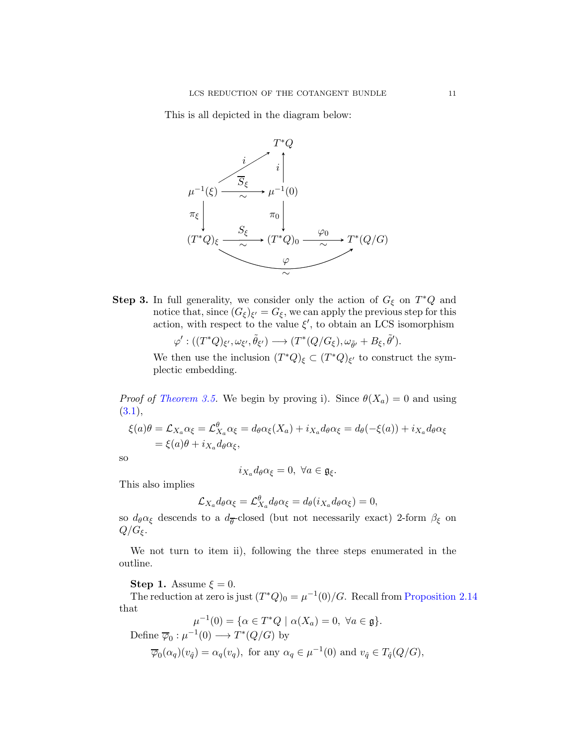This is all depicted in the diagram below:



**Step 3.** In full generality, we consider only the action of  $G_{\xi}$  on  $T^*Q$  and notice that, since  $(G_{\xi})_{\xi'} = G_{\xi}$ , we can apply the previous step for this action, with respect to the value  $\xi'$ , to obtain an LCS isomorphism

 $\varphi^\prime:((T^\ast Q)_{\xi^\prime}, \omega_{\xi^\prime}, \tilde{\theta}_{\xi^\prime}) \longrightarrow (T^\ast (Q/G_\xi), \omega_{\tilde{\theta}^\prime} + B_\xi, \tilde{\theta}^\prime).$ 

We then use the inclusion  $(T^*Q)_{\xi} \subset (T^*Q)_{\xi'}$  to construct the symplectic embedding.

*Proof of [Theorem 3.5.](#page-8-1)* We begin by proving i). Since  $\theta(X_a) = 0$  and using  $(3.1),$  $(3.1),$ 

$$
\xi(a)\theta = \mathcal{L}_{X_a}\alpha_{\xi} = \mathcal{L}_{X_a}^{\theta}\alpha_{\xi} = d_{\theta}\alpha_{\xi}(X_a) + i_{X_a}d_{\theta}\alpha_{\xi} = d_{\theta}(-\xi(a)) + i_{X_a}d_{\theta}\alpha_{\xi}
$$
  
=  $\xi(a)\theta + i_{X_a}d_{\theta}\alpha_{\xi}$ ,

so

$$
i_{X_a}d_{\theta}\alpha_{\xi}=0, \ \forall a\in\mathfrak{g}_{\xi}.
$$

This also implies

$$
\mathcal{L}_{X_a} d_{\theta} \alpha_{\xi} = \mathcal{L}_{X_a}^{\theta} d_{\theta} \alpha_{\xi} = d_{\theta} (i_{X_a} d_{\theta} \alpha_{\xi}) = 0,
$$

so  $d_{\theta} \alpha_{\xi}$  descends to a  $d_{\theta}$ -closed (but not necessarily exact) 2-form  $\beta_{\xi}$  on  $Q/G_{\xi}$ .

We not turn to item ii), following the three steps enumerated in the outline.

Step 1. Assume  $\xi = 0$ .

The reduction at zero is just  $(T^*Q)_0 = \mu^{-1}(0)/G$ . Recall from [Proposition 2.14](#page-5-2) that

$$
\mu^{-1}(0) = \{ \alpha \in T^*Q \mid \alpha(X_a) = 0, \ \forall a \in \mathfrak{g} \}.
$$
  
Define  $\overline{\varphi}_0 : \mu^{-1}(0) \longrightarrow T^*(Q/G)$  by

$$
\overline{\varphi}_0(\alpha_q)(v_{\hat{q}}) = \alpha_q(v_q)
$$
, for any  $\alpha_q \in \mu^{-1}(0)$  and  $v_{\hat{q}} \in T_{\hat{q}}(Q/G)$ ,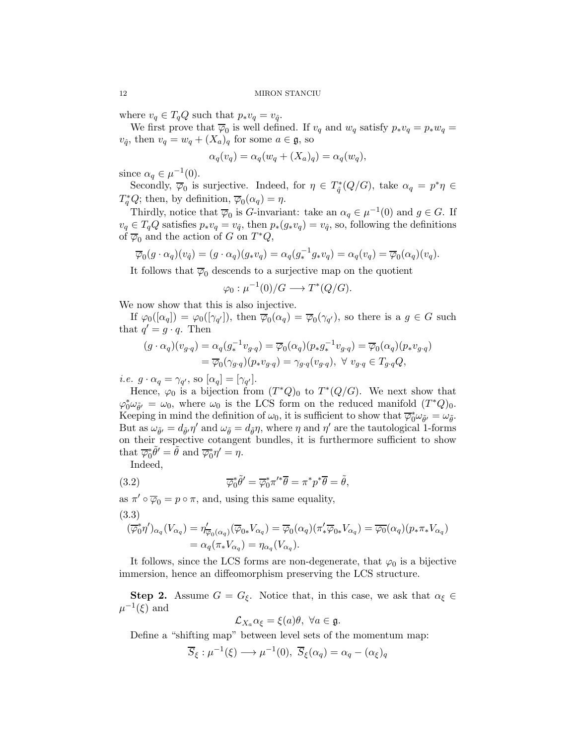where  $v_q \in T_qQ$  such that  $p_*v_q = v_{\hat{q}}$ .

We first prove that  $\overline{\varphi}_0$  is well defined. If  $v_q$  and  $w_q$  satisfy  $p_*v_q = p_*w_q =$  $v_{\hat{q}}$ , then  $v_q = w_q + (X_a)_q$  for some  $a \in \mathfrak{g}$ , so

$$
\alpha_q(v_q) = \alpha_q(w_q + (X_a)_q) = \alpha_q(w_q),
$$

since  $\alpha_q \in \mu^{-1}(0)$ .

Secondly,  $\overline{\varphi}_0$  is surjective. Indeed, for  $\eta \in T^*_{\hat{q}}(Q/G)$ , take  $\alpha_q = p^*\eta \in$  $T_q^*Q$ ; then, by definition,  $\overline{\varphi}_0(\alpha_q) = \eta$ .

Thirdly, notice that  $\overline{\varphi}_0$  is G-invariant: take an  $\alpha_q \in \mu^{-1}(0)$  and  $g \in G$ . If  $v_q \in T_qQ$  satisfies  $p_*v_q = v_{\hat{q}}$ , then  $p_*(g_*v_q) = v_{\hat{q}}$ , so, following the definitions of  $\overline{\varphi}_0$  and the action of G on  $T^*Q$ ,

$$
\overline{\varphi}_0(g \cdot \alpha_q)(v_{\hat{q}}) = (g \cdot \alpha_q)(g_*v_q) = \alpha_q(g_*^{-1}g_*v_q) = \alpha_q(v_q) = \overline{\varphi}_0(\alpha_q)(v_q).
$$

It follows that  $\overline{\varphi}_0$  descends to a surjective map on the quotient

 $\varphi_0: \mu^{-1}(0)/G \longrightarrow T^*(Q/G).$ 

We now show that this is also injective.

If  $\varphi_0([\alpha_q]) = \varphi_0([\gamma_{q'}]),$  then  $\overline{\varphi}_0(\alpha_q) = \overline{\varphi}_0(\gamma_{q'}),$  so there is a  $g \in G$  such that  $q' = g \cdot q$ . Then

$$
(g \cdot \alpha_q)(v_{g \cdot q}) = \alpha_q(g_*^{-1}v_{g \cdot q}) = \overline{\varphi}_0(\alpha_q)(p_*g_*^{-1}v_{g \cdot q}) = \overline{\varphi}_0(\alpha_q)(p_*v_{g \cdot q})
$$
  

$$
= \overline{\varphi}_0(\gamma_{g \cdot q})(p_*v_{g \cdot q}) = \gamma_{g \cdot q}(v_{g \cdot q}), \ \forall \ v_{g \cdot q} \in T_{g \cdot q}Q,
$$

*i.e.*  $g \cdot \alpha_q = \gamma_{q'}$ , so  $[\alpha_q] = [\gamma_{q'}]$ .

Hence,  $\varphi_0$  is a bijection from  $(T^*Q)_0$  to  $T^*(Q/G)$ . We next show that  $\varphi_0^* \omega_{\tilde{\theta}'} = \omega_0$ , where  $\omega_0$  is the LCS form on the reduced manifold  $(T^*Q)_0$ . Keeping in mind the definition of  $\omega_0$ , it is sufficient to show that  $\overline{\varphi}_0^* \omega_{\tilde{\theta}'} = \omega_{\tilde{\theta}}$ . But as  $\omega_{\tilde{\theta}'} = d_{\tilde{\theta}'} \eta'$  and  $\omega_{\tilde{\theta}} = d_{\tilde{\theta}} \eta$ , where  $\eta$  and  $\eta'$  are the tautological 1-forms on their respective cotangent bundles, it is furthermore sufficient to show that  $\overline{\varphi}_0^* \tilde{\theta}' = \tilde{\theta}$  and  $\overline{\varphi}_0^* \eta' = \eta$ .

<span id="page-11-1"></span>Indeed,

(3.2) 
$$
\overline{\varphi}_0^* \tilde{\theta}' = \overline{\varphi}_0^* \pi'^* \overline{\theta} = \pi^* p^* \overline{\theta} = \tilde{\theta},
$$

as  $\pi' \circ \overline{\varphi}_0 = p \circ \pi$ , and, using this same equality, (3.3)

<span id="page-11-0"></span>
$$
(\overline{\varphi}_0^* \eta')_{\alpha_q}(V_{\alpha_q}) = \eta'_{\overline{\varphi}_0(\alpha_q)}(\overline{\varphi}_{0*} V_{\alpha_q}) = \overline{\varphi}_0(\alpha_q) (\pi'_* \overline{\varphi}_{0*} V_{\alpha_q}) = \overline{\varphi_0}(\alpha_q) (p_* \pi_* V_{\alpha_q})
$$
  
=  $\alpha_q(\pi_* V_{\alpha_q}) = \eta_{\alpha_q}(V_{\alpha_q}).$ 

It follows, since the LCS forms are non-degenerate, that  $\varphi_0$  is a bijective immersion, hence an diffeomorphism preserving the LCS structure.

**Step 2.** Assume  $G = G_{\xi}$ . Notice that, in this case, we ask that  $\alpha_{\xi} \in$  $\mu^{-1}(\xi)$  and

$$
\mathcal{L}_{X_a} \alpha_{\xi} = \xi(a)\theta, \ \forall a \in \mathfrak{g}.
$$

Define a "shifting map" between level sets of the momentum map:

$$
\overline{S}_{\xi} : \mu^{-1}(\xi) \longrightarrow \mu^{-1}(0), \ \overline{S}_{\xi}(\alpha_q) = \alpha_q - (\alpha_{\xi})_q
$$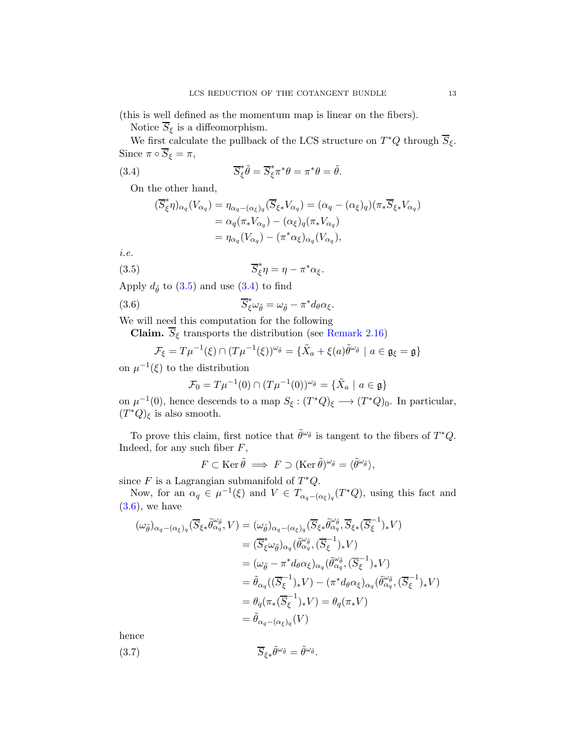(this is well defined as the momentum map is linear on the fibers).

Notice  $\overline{S}_\xi$  is a diffeomorphism.

We first calculate the pullback of the LCS structure on  $T^*Q$  through  $\overline{S}_{\xi}$ . Since  $\pi \circ \overline{S}_{\xi} = \pi$ ,

(3.4) 
$$
\overline{S}_{\xi}^* \tilde{\theta} = \overline{S}_{\xi}^* \pi^* \theta = \pi^* \theta = \tilde{\theta}.
$$

On the other hand,

<span id="page-12-1"></span><span id="page-12-0"></span>
$$
\begin{aligned} (\overline{S}_{\xi}^* \eta)_{\alpha_q} (V_{\alpha_q}) &= \eta_{\alpha_q - (\alpha_{\xi})_q} (\overline{S}_{\xi *} V_{\alpha_q}) = (\alpha_q - (\alpha_{\xi})_q) (\pi_* \overline{S}_{\xi *} V_{\alpha_q}) \\ &= \alpha_q (\pi_* V_{\alpha_q}) - (\alpha_{\xi})_q (\pi_* V_{\alpha_q}) \\ &= \eta_{\alpha_q} (V_{\alpha_q}) - (\pi^* \alpha_{\xi})_{\alpha_q} (V_{\alpha_q}), \end{aligned}
$$

i.e.

(3.5) 
$$
\overline{S}_{\xi}^* \eta = \eta - \pi^* \alpha_{\xi}.
$$

Apply  $d_{\tilde{\theta}}$  to  $(3.5)$  and use  $(3.4)$  to find

(3.6) 
$$
\overline{S}_{\xi}^* \omega_{\tilde{\theta}} = \omega_{\tilde{\theta}} - \pi^* d_{\theta} \alpha_{\xi}.
$$

We will need this computation for the following

**Claim.**  $\overline{S}_{\xi}$  transports the distribution (see [Remark 2.16\)](#page-6-2)

$$
\mathcal{F}_{\xi} = T\mu^{-1}(\xi) \cap (T\mu^{-1}(\xi))^{\omega_{\tilde{\theta}}} = {\tilde{X}_a + \xi(a)\tilde{\theta}^{\omega_{\tilde{\theta}}}} \mid a \in \mathfrak{g}_{\xi} = \mathfrak{g}}
$$

on  $\mu^{-1}(\xi)$  to the distribution

<span id="page-12-2"></span>
$$
\mathcal{F}_0 = T\mu^{-1}(0) \cap (T\mu^{-1}(0))^{\omega_{\tilde{\theta}}} = {\tilde{X}_a \mid a \in \mathfrak{g}}
$$

on  $\mu^{-1}(0)$ , hence descends to a map  $S_{\xi}: (T^*Q)_{\xi} \longrightarrow (T^*Q)_{0}$ . In particular,  $(T^*Q)_{\xi}$  is also smooth.

To prove this claim, first notice that  $\tilde{\theta}^{\omega_{\tilde{\theta}}}$  is tangent to the fibers of  $T^*Q$ . Indeed, for any such fiber  $F$ ,

$$
F \subset \text{Ker}\,\tilde{\theta} \implies F \supset (\text{Ker}\,\tilde{\theta})^{\omega_{\tilde{\theta}}} = \langle \tilde{\theta}^{\omega_{\tilde{\theta}}} \rangle,
$$

since  $F$  is a Lagrangian submanifold of  $T^*Q$ .

Now, for an  $\alpha_q \in \mu^{-1}(\xi)$  and  $V \in T_{\alpha_q - (\alpha_{\xi})_q}(T^*Q)$ , using this fact and  $(3.6)$ , we have

$$
(\omega_{\tilde{\theta}})_{\alpha_q - (\alpha_{\xi})_q} (\overline{S}_{\xi *} \tilde{\theta}_{\alpha_q}^{\omega_{\tilde{\theta}}}, V) = (\omega_{\tilde{\theta}})_{\alpha_q - (\alpha_{\xi})_q} (\overline{S}_{\xi *} \tilde{\theta}_{\alpha_q}^{\omega_{\tilde{\theta}}}, \overline{S}_{\xi *} (\overline{S}_{\xi}^{-1})_* V)
$$
  
\n
$$
= (\overline{S}_{\xi}^* \omega_{\tilde{\theta}})_{\alpha_q} (\tilde{\theta}_{\alpha_q}^{\omega_{\tilde{\theta}}}, (\overline{S}_{\xi}^{-1})_* V)
$$
  
\n
$$
= (\omega_{\tilde{\theta}} - \pi^* d_{\theta} \alpha_{\xi})_{\alpha_q} (\tilde{\theta}_{\alpha_q}^{\omega_{\tilde{\theta}}}, (\overline{S}_{\xi}^{-1})_* V)
$$
  
\n
$$
= \tilde{\theta}_{\alpha_q} ((\overline{S}_{\xi}^{-1})_* V) - (\pi^* d_{\theta} \alpha_{\xi})_{\alpha_q} (\tilde{\theta}_{\alpha_q}^{\omega_{\tilde{\theta}}}, (\overline{S}_{\xi}^{-1})_* V)
$$
  
\n
$$
= \theta_q (\pi_*(\overline{S}_{\xi}^{-1})_* V) = \theta_q (\pi_* V)
$$
  
\n
$$
= \tilde{\theta}_{\alpha_q - (\alpha_{\xi})_q} (V)
$$

hence

(3.7) 
$$
\overline{S}_{\xi*}\tilde{\theta}^{\omega_{\tilde{\theta}}} = \tilde{\theta}^{\omega_{\tilde{\theta}}}.
$$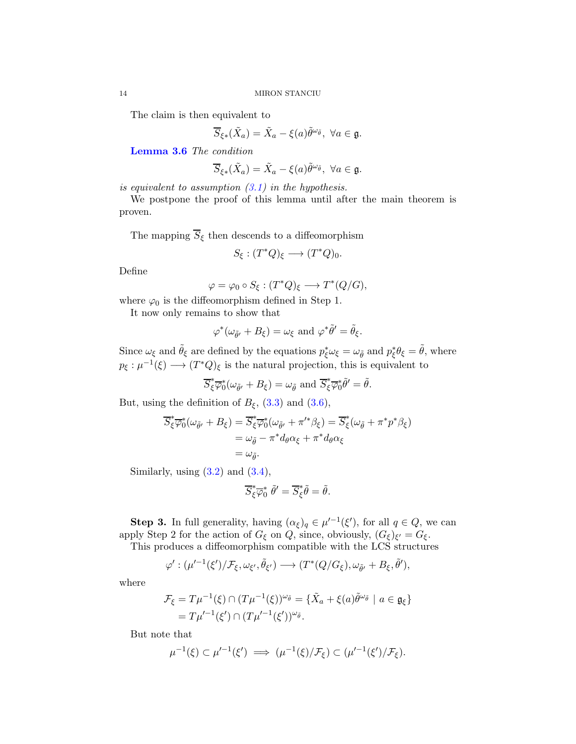The claim is then equivalent to

$$
\overline{S}_{\xi*}(\tilde{X}_a) = \tilde{X}_a - \xi(a)\tilde{\theta}^{\omega_{\tilde{\theta}}}, \ \forall a \in \mathfrak{g}.
$$

[Lemma 3.6](#page-14-0) The condition

$$
\overline{S}_{\xi*}(\tilde{X}_a)=\tilde{X}_a-\xi(a)\tilde{\theta}^{\omega_{\tilde{\theta}}},\ \forall a\in\mathfrak{g}.
$$

is equivalent to assumption  $(3.1)$  in the hypothesis.

We postpone the proof of this lemma until after the main theorem is proven.

The mapping  $\overline{S}_\xi$  then descends to a diffeomorphism

$$
S_{\xi} : (T^*Q)_{\xi} \longrightarrow (T^*Q)_{0}.
$$

Define

$$
\varphi = \varphi_0 \circ S_\xi : (T^*Q)_\xi \longrightarrow T^*(Q/G),
$$

where  $\varphi_0$  is the diffeomorphism defined in Step 1.

It now only remains to show that

$$
\varphi^*(\omega_{\tilde{\theta}'} + B_{\xi}) = \omega_{\xi} \text{ and } \varphi^*\tilde{\theta}' = \tilde{\theta}_{\xi}.
$$

Since  $\omega_{\xi}$  and  $\tilde{\theta}_{\xi}$  are defined by the equations  $p_{\xi}^* \omega_{\xi} = \omega_{\tilde{\theta}}$  and  $p_{\xi}^* \theta_{\xi} = \tilde{\theta}$ , where  $p_{\xi}: \mu^{-1}(\xi) \longrightarrow (T^*Q)_{\xi}$  is the natural projection, this is equivalent to

$$
\overline{S}_{\xi}^* \overline{\varphi}_0^* (\omega_{\tilde{\theta}'} + B_{\xi}) = \omega_{\tilde{\theta}} \text{ and } \overline{S}_{\xi}^* \overline{\varphi}_0^* \tilde{\theta}' = \tilde{\theta}.
$$

But, using the definition of  $B_{\xi}$ , [\(3.3\)](#page-11-0) and [\(3.6\)](#page-12-2),

$$
\overline{S}_{\xi}^{*}\overline{\varphi}_{0}^{*}(\omega_{\tilde{\theta}'}+B_{\xi}) = \overline{S}_{\xi}^{*}\overline{\varphi}_{0}^{*}(\omega_{\tilde{\theta}'}+\pi'^{*}\beta_{\xi}) = \overline{S}_{\xi}^{*}(\omega_{\tilde{\theta}}+\pi^{*}p^{*}\beta_{\xi})
$$
  
=  $\omega_{\tilde{\theta}} - \pi^{*}d_{\theta}\alpha_{\xi} + \pi^{*}d_{\theta}\alpha_{\xi}$   
=  $\omega_{\tilde{\theta}}.$ 

Similarly, using  $(3.2)$  and  $(3.4)$ ,

$$
\overline{S}_{\xi}^* \overline{\varphi}_0^* \; \tilde{\theta}' = \overline{S}_{\xi}^* \tilde{\theta} = \tilde{\theta}.
$$

**Step 3.** In full generality, having  $(\alpha_{\xi})_q \in \mu'^{-1}(\xi')$ , for all  $q \in Q$ , we can apply Step 2 for the action of  $G_{\xi}$  on  $Q$ , since, obviously,  $(G_{\xi})_{\xi'} = G_{\xi}$ .

This produces a diffeomorphism compatible with the LCS structures

$$
\varphi':(\mu'^{-1}(\xi')/\mathcal{F}_{\xi},\omega_{\xi'},\tilde{\theta}_{\xi'})\longrightarrow(T^*(Q/G_{\xi}),\omega_{\tilde{\theta}'}+B_{\xi},\tilde{\theta}'),
$$

where

$$
\mathcal{F}_{\xi} = T\mu^{-1}(\xi) \cap (T\mu^{-1}(\xi))^{\omega_{\tilde{\theta}}} = {\tilde{X}_a + \xi(a)\tilde{\theta}^{\omega_{\tilde{\theta}}} \mid a \in \mathfrak{g}_{\xi}}
$$
  
= 
$$
T\mu'^{-1}(\xi') \cap (T\mu'^{-1}(\xi'))^{\omega_{\tilde{\theta}}}.
$$

But note that

$$
\mu^{-1}(\xi) \subset \mu'^{-1}(\xi') \implies (\mu^{-1}(\xi)/\mathcal{F}_{\xi}) \subset (\mu'^{-1}(\xi')/\mathcal{F}_{\xi}).
$$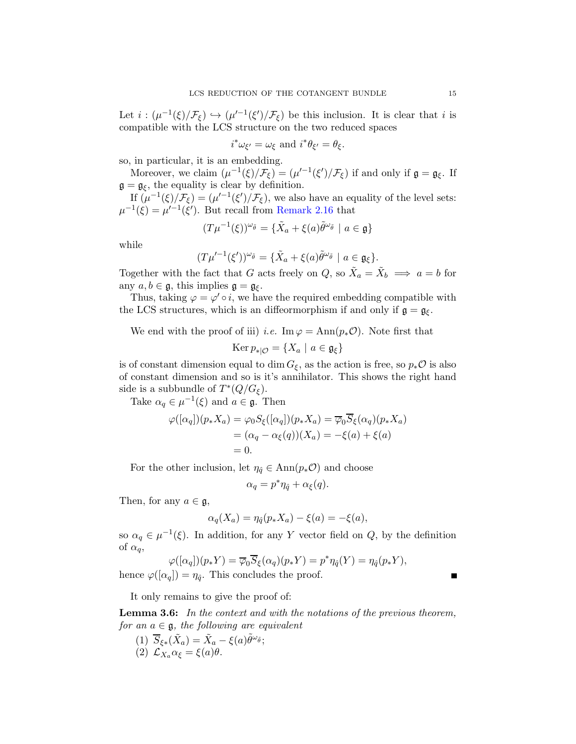Let  $i: (\mu^{-1}(\xi)/\mathcal{F}_{\xi}) \hookrightarrow (\mu'^{-1}(\xi')/\mathcal{F}_{\xi})$  be this inclusion. It is clear that i is compatible with the LCS structure on the two reduced spaces

$$
i^*\omega_{\xi'}=\omega_{\xi} \text{ and } i^*\theta_{\xi'}=\theta_{\xi}.
$$

so, in particular, it is an embedding.

Moreover, we claim  $(\mu^{-1}(\xi)/\mathcal{F}_{\xi}) = (\mu'^{-1}(\xi')/\mathcal{F}_{\xi})$  if and only if  $\mathfrak{g} = \mathfrak{g}_{\xi}$ . If  $\mathfrak{g} = \mathfrak{g}_{\xi}$ , the equality is clear by definition.

If  $(\mu^{-1}(\xi)/\mathcal{F}_{\xi}) = (\mu'^{-1}(\xi')/\mathcal{F}_{\xi})$ , we also have an equality of the level sets:  $\mu^{-1}(\xi) = \mu'^{-1}(\xi').$  But recall from [Remark 2.16](#page-6-2) that

$$
(T\mu^{-1}(\xi))^{\omega_{\tilde{\theta}}} = {\tilde{X}_a + \xi(a)\tilde{\theta}^{\omega_{\tilde{\theta}}}} \mid a \in \mathfrak{g}
$$

while

$$
(T\mu'^{-1}(\xi'))^{\omega_{\tilde{\theta}}} = {\tilde{X}_a + \xi(a)\tilde{\theta}^{\omega_{\tilde{\theta}}}} \mid a \in \mathfrak{g}_{\xi}.
$$

Together with the fact that G acts freely on  $Q$ , so  $\tilde{X}_a = \tilde{X}_b \implies a = b$  for any  $a, b \in \mathfrak{g}$ , this implies  $\mathfrak{g} = \mathfrak{g}_{\xi}$ .

Thus, taking  $\varphi = \varphi' \circ i$ , we have the required embedding compatible with the LCS structures, which is an diffeormorphism if and only if  $\mathfrak{g} = \mathfrak{g}_{\xi}$ .

We end with the proof of iii) *i.e.* Im  $\varphi = \text{Ann}(p_*\mathcal{O})$ . Note first that

$$
\operatorname{Ker} p_{*|\mathcal{O}} = \{ X_a \mid a \in \mathfrak{g}_{\xi} \}
$$

is of constant dimension equal to dim  $G_{\xi}$ , as the action is free, so  $p_*\mathcal{O}$  is also of constant dimension and so is it's annihilator. This shows the right hand side is a subbundle of  $T^*(Q/G_{\xi})$ .

Take  $\alpha_q \in \mu^{-1}(\xi)$  and  $a \in \mathfrak{g}$ . Then

$$
\varphi([\alpha_q])(p_*X_a) = \varphi_0 S_{\xi}([\alpha_q])(p_*X_a) = \overline{\varphi_0} \overline{S}_{\xi}(\alpha_q)(p_*X_a)
$$
  
=  $(\alpha_q - \alpha_{\xi}(q))(X_a) = -\xi(a) + \xi(a)$   
= 0.

For the other inclusion, let  $\eta_{\hat{q}} \in \text{Ann}(p_*\mathcal{O})$  and choose

$$
\alpha_q = p^* \eta_{\hat{q}} + \alpha_{\xi}(q).
$$

Then, for any  $a \in \mathfrak{g}$ ,

$$
\alpha_q(X_a) = \eta_{\hat{q}}(p_* X_a) - \xi(a) = -\xi(a),
$$

so  $\alpha_q \in \mu^{-1}(\xi)$ . In addition, for any Y vector field on Q, by the definition of  $\alpha_q$ ,

$$
\varphi([\alpha_q])(p_*Y) = \overline{\varphi}_0 \overline{S}_{\xi}(\alpha_q)(p_*Y) = p^* \eta_{\hat{q}}(Y) = \eta_{\hat{q}}(p_*Y),
$$
  
 
$$
|y - p_*|
$$
 This concludes the proof

hence  $\varphi([\alpha_q]) = \eta_{\hat{q}}$ . This concludes the proof.

<span id="page-14-0"></span>It only remains to give the proof of:

**Lemma 3.6:** In the context and with the notations of the previous theorem, for an  $a \in \mathfrak{g}$ , the following are equivalent

(1)  $\overline{S}_{\xi*}(\tilde{X}_a) = \tilde{X}_a - \xi(a)\tilde{\theta}^{\omega_{\tilde{\theta}}};$ (2)  $\mathcal{L}_{X_a} \alpha_{\xi} = \xi(a)\theta$ .

 $\blacksquare$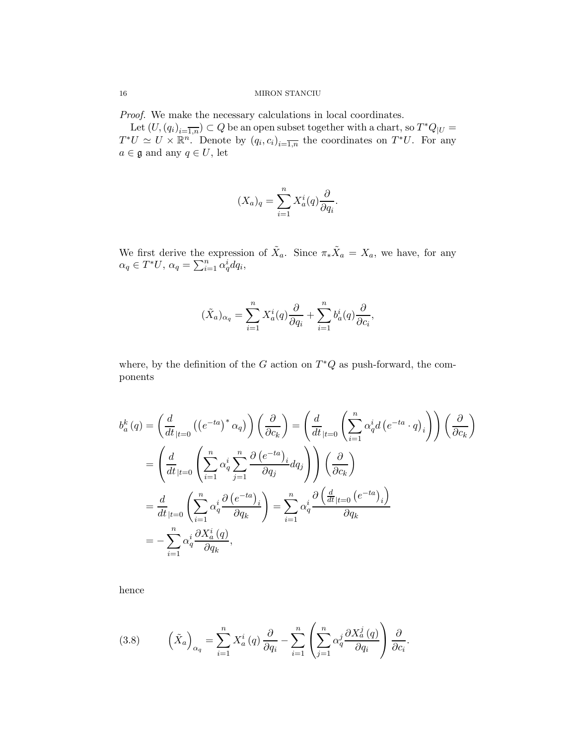Proof. We make the necessary calculations in local coordinates.

Let  $(U, (q_i)_{i=\overline{1,n}}) \subset Q$  be an open subset together with a chart, so  $T^*Q_{|U} =$  $T^*U \simeq U \times \mathbb{R}^n$ . Denote by  $(q_i, c_i)_{i=\overline{1,n}}$  the coordinates on  $T^*U$ . For any  $a\in \mathfrak{g}$  and any  $q\in U,$  let

$$
(X_a)_q = \sum_{i=1}^n X_a^i(q) \frac{\partial}{\partial q_i}.
$$

We first derive the expression of  $\tilde{X}_a$ . Since  $\pi_*\tilde{X}_a = X_a$ , we have, for any  $\alpha_q \in T^*U$ ,  $\alpha_q = \sum_{i=1}^n \alpha_q^i dq_i$ ,

$$
(\tilde{X}_a)_{\alpha q} = \sum_{i=1}^n X_a^i(q) \frac{\partial}{\partial q_i} + \sum_{i=1}^n b_a^i(q) \frac{\partial}{\partial c_i},
$$

where, by the definition of the  $G$  action on  $T^*Q$  as push-forward, the components

$$
b_a^k(q) = \left(\frac{d}{dt}_{|t=0} \left( \left(e^{-ta}\right)^* \alpha_q \right) \right) \left(\frac{\partial}{\partial c_k}\right) = \left(\frac{d}{dt}_{|t=0} \left( \sum_{i=1}^n \alpha_q^i d \left( e^{-ta} \cdot q \right)_i \right) \right) \left(\frac{\partial}{\partial c_k}\right)
$$
  
\n
$$
= \left(\frac{d}{dt}_{|t=0} \left( \sum_{i=1}^n \alpha_q^i \sum_{j=1}^n \frac{\partial \left( e^{-ta} \right)_i}{\partial q_j} dq_j \right) \right) \left(\frac{\partial}{\partial c_k}\right)
$$
  
\n
$$
= \frac{d}{dt}_{|t=0} \left( \sum_{i=1}^n \alpha_q^i \frac{\partial \left( e^{-ta} \right)_i}{\partial q_k} \right) = \sum_{i=1}^n \alpha_q^i \frac{\partial \left(\frac{d}{dt}_{|t=0} \left( e^{-ta} \right)_i \right)}{\partial q_k}
$$
  
\n
$$
= -\sum_{i=1}^n \alpha_q^i \frac{\partial X_a^i(q)}{\partial q_k},
$$

hence

<span id="page-15-0"></span>(3.8) 
$$
\left(\tilde{X}_a\right)_{\alpha_q} = \sum_{i=1}^n X_a^i(q) \frac{\partial}{\partial q_i} - \sum_{i=1}^n \left(\sum_{j=1}^n \alpha_q^j \frac{\partial X_a^j(q)}{\partial q_i}\right) \frac{\partial}{\partial c_i}.
$$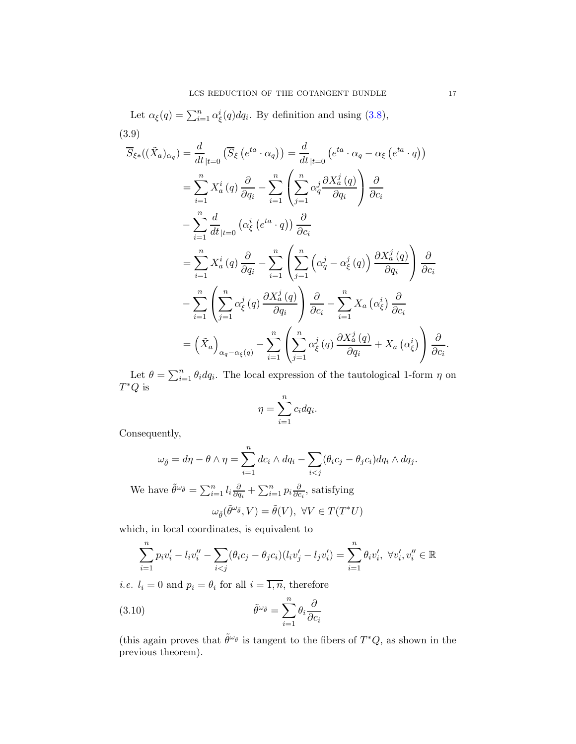Let 
$$
\alpha_{\xi}(q) = \sum_{i=1}^{n} \alpha_{\xi}^{i}(q) dq_{i}
$$
. By definition and using (3.8),  
\n(3.9)  
\n
$$
\overline{S}_{\xi*}((\tilde{X}_{a})_{\alpha_{q}}) = \frac{d}{dt}|_{t=0} (\overline{S}_{\xi} (e^{ta} \cdot \alpha_{q})) = \frac{d}{dt}|_{t=0} (e^{ta} \cdot \alpha_{q} - \alpha_{\xi} (e^{ta} \cdot q))
$$
\n
$$
= \sum_{i=1}^{n} X_{a}^{i}(q) \frac{\partial}{\partial q_{i}} - \sum_{i=1}^{n} \left( \sum_{j=1}^{n} \alpha_{q}^{j} \frac{\partial X_{a}^{j}(q)}{\partial q_{i}} \right) \frac{\partial}{\partial c_{i}}
$$
\n
$$
- \sum_{i=1}^{n} \frac{d}{dt}|_{t=0} (\alpha_{\xi}^{i} (e^{ta} \cdot q)) \frac{\partial}{\partial c_{i}}
$$
\n
$$
= \sum_{i=1}^{n} X_{a}^{i}(q) \frac{\partial}{\partial q_{i}} - \sum_{i=1}^{n} \left( \sum_{j=1}^{n} (\alpha_{q}^{j} - \alpha_{\xi}^{j}(q)) \frac{\partial X_{a}^{j}(q)}{\partial q_{i}} \right) \frac{\partial}{\partial c_{i}}
$$
\n
$$
- \sum_{i=1}^{n} \left( \sum_{j=1}^{n} \alpha_{\xi}^{j}(q) \frac{\partial X_{a}^{j}(q)}{\partial q_{i}} \right) \frac{\partial}{\partial c_{i}} - \sum_{i=1}^{n} X_{a} (\alpha_{\xi}^{i}) \frac{\partial}{\partial c_{i}}
$$
\n
$$
= (\tilde{X}_{a})_{\alpha_{q} - \alpha_{\xi}(q)} - \sum_{i=1}^{n} \left( \sum_{j=1}^{n} \alpha_{\xi}^{j}(q) \frac{\partial X_{a}^{j}(q)}{\partial q_{i}} + X_{a} (\alpha_{\xi}^{i}) \right) \frac{\partial}{\partial c_{i}}.
$$

<span id="page-16-0"></span>Let  $\theta = \sum_{i=1}^{n} \theta_i dq_i$ . The local expression of the tautological 1-form  $\eta$  on  $T^*Q$  is

$$
\eta = \sum_{i=1}^{n} c_i dq_i.
$$

Consequently,

$$
\omega_{\tilde{\theta}} = d\eta - \theta \wedge \eta = \sum_{i=1}^n dc_i \wedge dq_i - \sum_{i < j} (\theta_i c_j - \theta_j c_i) dq_i \wedge dq_j.
$$

We have  $\tilde{\theta}^{\omega_{\tilde{\theta}}} = \sum_{i=1}^n l_i \frac{\partial}{\partial q_i}$  $\frac{\partial}{\partial q_i} + \sum_{i=1}^n p_i \frac{\partial}{\partial q_i}$  $\frac{\partial}{\partial c_i}$ , satisfying

<span id="page-16-1"></span>
$$
\omega_{\tilde{\theta}}(\tilde{\theta}^{\omega_{\tilde{\theta}}},V)=\tilde{\theta}(V),\ \forall V\in T(T^*U)
$$

which, in local coordinates, is equivalent to

$$
\sum_{i=1}^{n} p_i v_i' - l_i v_i'' - \sum_{i < j} (\theta_i c_j - \theta_j c_i)(l_i v_j' - l_j v_i') = \sum_{i=1}^{n} \theta_i v_i', \ \forall v_i', v_i'' \in \mathbb{R}
$$

*i.e.*  $l_i = 0$  and  $p_i = \theta_i$  for all  $i = \overline{1, n}$ , therefore

(3.10) 
$$
\tilde{\theta}^{\omega_{\tilde{\theta}}} = \sum_{i=1}^{n} \theta_i \frac{\partial}{\partial c_i}
$$

(this again proves that  $\tilde{\theta}^{\omega_{\tilde{\theta}}}$  is tangent to the fibers of  $T^*Q$ , as shown in the previous theorem).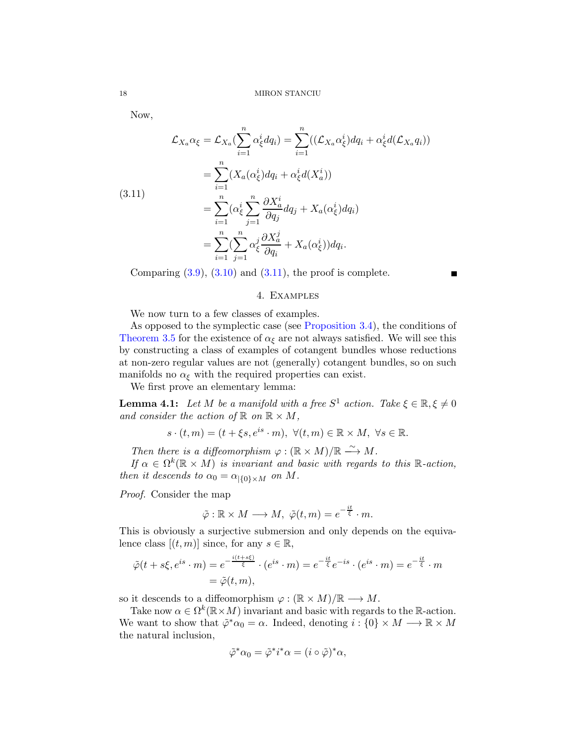Now,

<span id="page-17-1"></span>
$$
\mathcal{L}_{X_a}\alpha_{\xi} = \mathcal{L}_{X_a}(\sum_{i=1}^n \alpha_{\xi}^i dq_i) = \sum_{i=1}^n ((\mathcal{L}_{X_a}\alpha_{\xi}^i) dq_i + \alpha_{\xi}^i d(\mathcal{L}_{X_a}q_i))
$$
  
\n
$$
= \sum_{i=1}^n (X_a(\alpha_{\xi}^i) dq_i + \alpha_{\xi}^i d(X_a^i))
$$
  
\n
$$
= \sum_{i=1}^n (\alpha_{\xi}^i \sum_{j=1}^n \frac{\partial X_a^i}{\partial q_j} dq_j + X_a(\alpha_{\xi}^i) dq_i)
$$
  
\n
$$
= \sum_{i=1}^n (\sum_{j=1}^n \alpha_{\xi}^j \frac{\partial X_a^j}{\partial q_i} + X_a(\alpha_{\xi}^i)) dq_i.
$$

<span id="page-17-0"></span>Comparing  $(3.9)$ ,  $(3.10)$  and  $(3.11)$ , the proof is complete.

### 4. Examples

We now turn to a few classes of examples.

As opposed to the symplectic case (see [Proposition 3.4\)](#page-8-2), the conditions of [Theorem 3.5](#page-8-1) for the existence of  $\alpha_{\xi}$  are not always satisfied. We will see this by constructing a class of examples of cotangent bundles whose reductions at non-zero regular values are not (generally) cotangent bundles, so on such manifolds no  $\alpha_{\xi}$  with the required properties can exist.

<span id="page-17-2"></span>We first prove an elementary lemma:

**Lemma 4.1:** Let M be a manifold with a free  $S^1$  action. Take  $\xi \in \mathbb{R}, \xi \neq 0$ and consider the action of  $\mathbb{R}$  on  $\mathbb{R} \times M$ ,

$$
s \cdot (t, m) = (t + \xi s, e^{is} \cdot m), \ \forall (t, m) \in \mathbb{R} \times M, \ \forall s \in \mathbb{R}.
$$

Then there is a diffeomorphism  $\varphi : (\mathbb{R} \times M)/\mathbb{R} \longrightarrow M$ .

If  $\alpha \in \Omega^k(\mathbb{R} \times M)$  is invariant and basic with regards to this  $\mathbb{R}$ -action, then it descends to  $\alpha_0 = \alpha_{|\{0\} \times M}$  on M.

Proof. Consider the map

$$
\tilde{\varphi} : \mathbb{R} \times M \longrightarrow M, \ \tilde{\varphi}(t,m) = e^{-\frac{it}{\xi}} \cdot m.
$$

This is obviously a surjective submersion and only depends on the equivalence class  $[(t, m)]$  since, for any  $s \in \mathbb{R}$ ,

$$
\tilde{\varphi}(t+s\xi, e^{is} \cdot m) = e^{-\frac{i(t+s\xi)}{\xi}} \cdot (e^{is} \cdot m) = e^{-\frac{it}{\xi}} e^{-is} \cdot (e^{is} \cdot m) = e^{-\frac{it}{\xi}} \cdot m
$$

$$
= \tilde{\varphi}(t,m),
$$

so it descends to a diffeomorphism  $\varphi : (\mathbb{R} \times M)/\mathbb{R} \longrightarrow M$ .

Take now  $\alpha \in \Omega^k(\mathbb{R} \times M)$  invariant and basic with regards to the R-action. We want to show that  $\tilde{\varphi}^* \alpha_0 = \alpha$ . Indeed, denoting  $i : \{0\} \times M \longrightarrow \mathbb{R} \times M$ the natural inclusion,

$$
\tilde{\varphi}^* \alpha_0 = \tilde{\varphi}^* i^* \alpha = (i \circ \tilde{\varphi})^* \alpha,
$$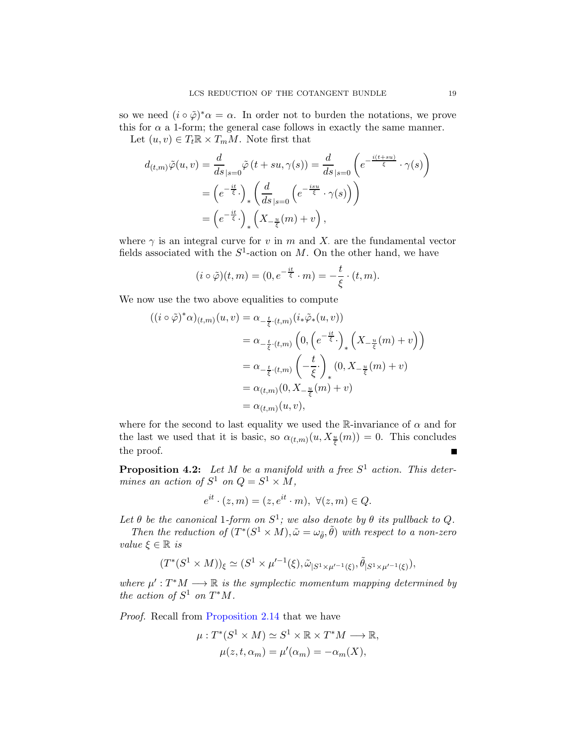so we need  $(i \circ \tilde{\varphi})^* \alpha = \alpha$ . In order not to burden the notations, we prove this for  $\alpha$  a 1-form; the general case follows in exactly the same manner.

Let  $(u, v) \in T_t \mathbb{R} \times T_m M$ . Note first that

$$
d_{(t,m)}\tilde{\varphi}(u,v) = \frac{d}{ds}\Big|_{s=0} \tilde{\varphi}(t+su,\gamma(s)) = \frac{d}{ds}\Big|_{s=0} \left(e^{-\frac{i(t+su)}{\xi}} \cdot \gamma(s)\right)
$$
  

$$
= \left(e^{-\frac{it}{\xi}}\cdot\right)_* \left(\frac{d}{ds}\Big|_{s=0} \left(e^{-\frac{isu}{\xi}} \cdot \gamma(s)\right)\right)
$$
  

$$
= \left(e^{-\frac{it}{\xi}}\cdot\right)_* \left(X_{-\frac{u}{\xi}}(m)+v\right),
$$

where  $\gamma$  is an integral curve for v in m and X. are the fundamental vector fields associated with the  $S^1$ -action on M. On the other hand, we have

$$
(i \circ \tilde{\varphi})(t,m) = (0, e^{-\frac{it}{\xi}} \cdot m) = -\frac{t}{\xi} \cdot (t, m).
$$

We now use the two above equalities to compute

$$
((i \circ \tilde{\varphi})^* \alpha)_{(t,m)} (u, v) = \alpha_{-\frac{t}{\xi} \cdot (t,m)} (i_* \tilde{\varphi}_*(u, v))
$$
  

$$
= \alpha_{-\frac{t}{\xi} \cdot (t,m)} \left( 0, \left( e^{-\frac{it}{\xi}} \cdot \right)_* \left( X_{-\frac{u}{\xi}} (m) + v \right) \right)
$$
  

$$
= \alpha_{-\frac{t}{\xi} \cdot (t,m)} \left( -\frac{t}{\xi} \cdot \right)_* (0, X_{-\frac{u}{\xi}} (m) + v)
$$
  

$$
= \alpha_{(t,m)} (0, X_{-\frac{u}{\xi}} (m) + v)
$$
  

$$
= \alpha_{(t,m)} (u, v),
$$

where for the second to last equality we used the R-invariance of  $\alpha$  and for the last we used that it is basic, so  $\alpha_{(t,m)}(u, X_{\frac{u}{\xi}}(m)) = 0$ . This concludes the proof.

<span id="page-18-0"></span>**Proposition 4.2:** Let M be a manifold with a free  $S^1$  action. This determines an action of  $S^1$  on  $Q = S^1 \times M$ ,

$$
e^{it} \cdot (z,m) = (z, e^{it} \cdot m), \ \forall (z,m) \in Q.
$$

Let  $\theta$  be the canonical 1-form on  $S^1$ ; we also denote by  $\theta$  its pullback to Q.

Then the reduction of  $(T^*(S^1 \times M), \tilde{\omega} = \omega_{\tilde{\theta}}, \tilde{\theta})$  with respect to a non-zero value  $\xi \in \mathbb{R}$  is

$$
(T^*(S^1 \times M))_{\xi} \simeq (S^1 \times \mu'^{-1}(\xi), \tilde{\omega}_{|S^1 \times \mu'^{-1}(\xi)}, \tilde{\theta}_{|S^1 \times \mu'^{-1}(\xi)}),
$$

where  $\mu': T^*M \longrightarrow \mathbb{R}$  is the symplectic momentum mapping determined by the action of  $S^1$  on  $T^*M$ .

Proof. Recall from [Proposition 2.14](#page-5-2) that we have

$$
\mu: T^*(S^1 \times M) \simeq S^1 \times \mathbb{R} \times T^*M \longrightarrow \mathbb{R},
$$
  

$$
\mu(z, t, \alpha_m) = \mu'(\alpha_m) = -\alpha_m(X),
$$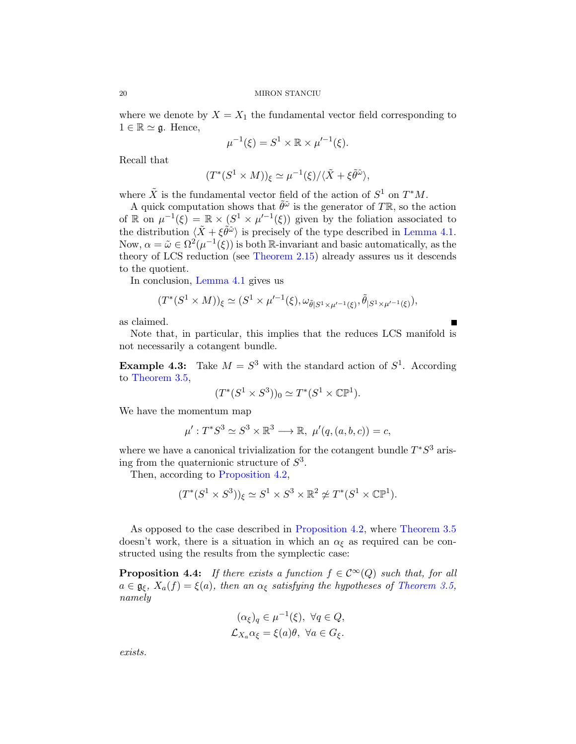where we denote by  $X = X_1$  the fundamental vector field corresponding to  $1 \in \mathbb{R} \simeq \mathfrak{g}$ . Hence,

$$
\mu^{-1}(\xi) = S^1 \times \mathbb{R} \times \mu'^{-1}(\xi).
$$

Recall that

$$
(T^*(S^1 \times M))_{\xi} \simeq \mu^{-1}(\xi)/\langle \tilde{X} + \xi \tilde{\theta}^{\tilde{\omega}} \rangle,
$$

where  $\tilde{X}$  is the fundamental vector field of the action of  $S^1$  on  $T^*M$ .

A quick computation shows that  $\tilde{\theta}^{\tilde{\omega}}$  is the generator of TR, so the action of R on  $\mu^{-1}(\xi) = \mathbb{R} \times (S^1 \times \mu'^{-1}(\xi))$  given by the foliation associated to the distribution  $\langle \tilde{X} + \xi \tilde{\theta} \tilde{\phi} \rangle$  is precisely of the type described in [Lemma 4.1.](#page-17-2) Now,  $\alpha = \tilde{\omega} \in \Omega^2(\mu^{-1}(\xi))$  is both R-invariant and basic automatically, as the theory of LCS reduction (see [Theorem 2.15\)](#page-6-1) already assures us it descends to the quotient.

In conclusion, [Lemma 4.1](#page-17-2) gives us

$$
(T^*(S^1 \times M))_{\xi} \simeq (S^1 \times \mu'^{-1}(\xi), \omega_{\tilde{\theta}|S^1 \times \mu'^{-1}(\xi)}, \tilde{\theta}|_{S^1 \times \mu'^{-1}(\xi)}),
$$

as claimed.

Note that, in particular, this implies that the reduces LCS manifold is not necessarily a cotangent bundle.

**Example 4.3:** Take  $M = S^3$  with the standard action of  $S^1$ . According to [Theorem 3.5,](#page-8-1)

$$
(T^*(S^1 \times S^3))_0 \simeq T^*(S^1 \times \mathbb{CP}^1).
$$

We have the momentum map

$$
\mu': T^*S^3 \simeq S^3 \times \mathbb{R}^3 \longrightarrow \mathbb{R}, \ \mu'(q,(a,b,c)) = c,
$$

where we have a canonical trivialization for the cotangent bundle  $T^*S^3$  arising from the quaternionic structure of  $S^3$ .

Then, according to [Proposition 4.2,](#page-18-0)

$$
(T^*(S^1 \times S^3))_{\xi} \simeq S^1 \times S^3 \times \mathbb{R}^2 \not\simeq T^*(S^1 \times \mathbb{CP}^1).
$$

As opposed to the case described in [Proposition 4.2,](#page-18-0) where [Theorem 3.5](#page-8-1) doesn't work, there is a situation in which an  $\alpha_{\xi}$  as required can be constructed using the results from the symplectic case:

**Proposition 4.4:** If there exists a function  $f \in C^{\infty}(Q)$  such that, for all  $a \in \mathfrak{g}_{\xi}, X_a(f) = \xi(a)$ , then an  $\alpha_{\xi}$  satisfying the hypotheses of [Theorem 3.5,](#page-8-1) namely

$$
(\alpha_{\xi})_q \in \mu^{-1}(\xi), \ \forall q \in Q, \mathcal{L}_{X_a} \alpha_{\xi} = \xi(a)\theta, \ \forall a \in G_{\xi}.
$$

exists.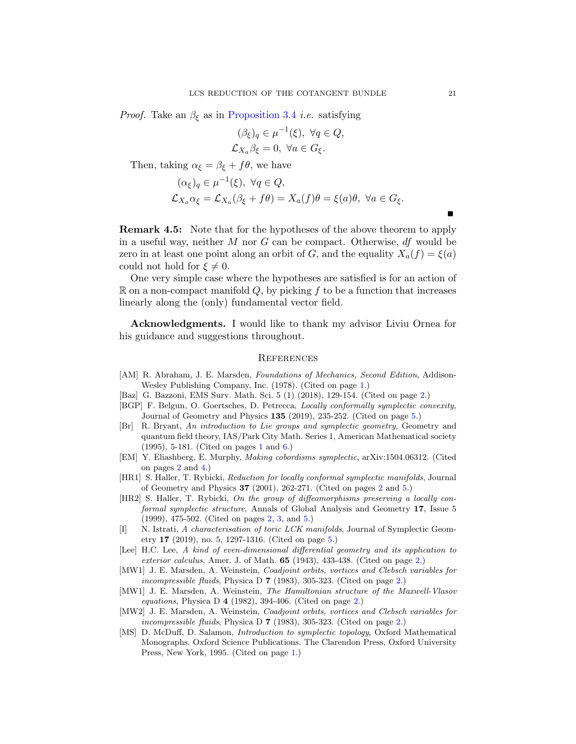*Proof.* Take an  $\beta_{\xi}$  as in [Proposition 3.4](#page-8-2) *i.e.* satisfying

$$
(\beta_{\xi})_q \in \mu^{-1}(\xi), \ \forall q \in Q, \mathcal{L}_{X_a} \beta_{\xi} = 0, \ \forall a \in G_{\xi}.
$$

Then, taking  $\alpha_{\xi} = \beta_{\xi} + f\theta$ , we have

$$
(\alpha_{\xi})_q \in \mu^{-1}(\xi), \ \forall q \in Q,
$$
  

$$
\mathcal{L}_{X_a} \alpha_{\xi} = \mathcal{L}_{X_a} (\beta_{\xi} + f\theta) = X_a(f)\theta = \xi(a)\theta, \ \forall a \in G_{\xi}.
$$

Remark 4.5: Note that for the hypotheses of the above theorem to apply in a useful way, neither  $M$  nor  $G$  can be compact. Otherwise,  $df$  would be zero in at least one point along an orbit of G, and the equality  $X_a(f) = \xi(a)$ could not hold for  $\xi \neq 0$ .

One very simple case where the hypotheses are satisfied is for an action of  $\mathbb R$  on a non-compact manifold Q, by picking f to be a function that increases linearly along the (only) fundamental vector field.

Acknowledgments. I would like to thank my advisor Liviu Ornea for his guidance and suggestions throughout.

#### <span id="page-20-0"></span>**REFERENCES**

- <span id="page-20-1"></span>[AM] R. Abraham, J. E. Marsden, *Foundations of Mechanics, Second Edition*, Addison-Wesley Publishing Company, Inc. (1978). (Cited on page [1.](#page-0-1))
- <span id="page-20-7"></span>[Baz] G. Bazzoni, EMS Surv. Math. Sci. 5 (1) (2018), 129-154. (Cited on page [2.](#page-1-0))
- <span id="page-20-11"></span>[BGP] F. Belgun, O. Goertsches, D. Petrecca, Locally conformally symplectic convexity, Journal of Geometry and Physics 135 (2019), 235-252. (Cited on page [5.](#page-4-4))
- <span id="page-20-2"></span>[Br] R. Bryant, An introduction to Lie groups and symplectic geometry, Geometry and quantum field theory, IAS/Park City Math. Series 1, American Mathematical society (1995), 5-181. (Cited on pages [1](#page-0-1) and [6.](#page-5-3))
- <span id="page-20-8"></span>[EM] Y. Eliashberg, E. Murphy, Making cobordisms symplectic, arXiv:1504.06312. (Cited on pages [2](#page-1-0) and [4.](#page-3-0))
- <span id="page-20-9"></span>[HR1] S. Haller, T. Rybicki, Reduction for locally conformal symplectic manifolds, Journal of Geometry and Physics 37 (2001), 262-271. (Cited on pages [2](#page-1-0) and [5.](#page-4-4))
- <span id="page-20-10"></span>[HR2] S. Haller, T. Rybicki, On the group of diffeomorphisms preserving a locally conformal symplectic structure, Annals of Global Analysis and Geometry 17, Issue 5 (1999), 475-502. (Cited on pages [2,](#page-1-0) [3,](#page-2-2) and [5.](#page-4-4))
- <span id="page-20-12"></span>[I] N. Istrati, A characterisation of toric LCK manifolds, Journal of Symplectic Geometry 17 (2019), no. 5, 1297-1316. (Cited on page [5.](#page-4-4))
- <span id="page-20-6"></span>[Lee] H.C. Lee, A kind of even-dimensional differential geometry and its application to exterior calculus, Amer. J. of Math. 65 (1943), 433-438. (Cited on page [2.](#page-1-0))
- [MW1] J. E. Marsden, A. Weinstein, Coadjoint orbits, vortices and Clebsch variables for incompressible fluids, Physica D 7 (1983), 305-323. (Cited on page [2.](#page-1-0))
- <span id="page-20-4"></span>[MW1] J. E. Marsden, A. Weinstein, The Hamiltonian structure of the Maxwell-Vlasov equations, Physica D  $4$  (1982), 394-406. (Cited on page [2.](#page-1-0))
- <span id="page-20-5"></span>[MW2] J. E. Marsden, A. Weinstein, Coadjoint orbits, vortices and Clebsch variables for incompressible fluids, Physica D 7 (1983), 305-323. (Cited on page [2.](#page-1-0))
- <span id="page-20-3"></span>[MS] D. McDuff, D. Salamon, Introduction to symplectic topology, Oxford Mathematical Monographs. Oxford Science Publications. The Clarendon Press, Oxford University Press, New York, 1995. (Cited on page [1.](#page-0-1))